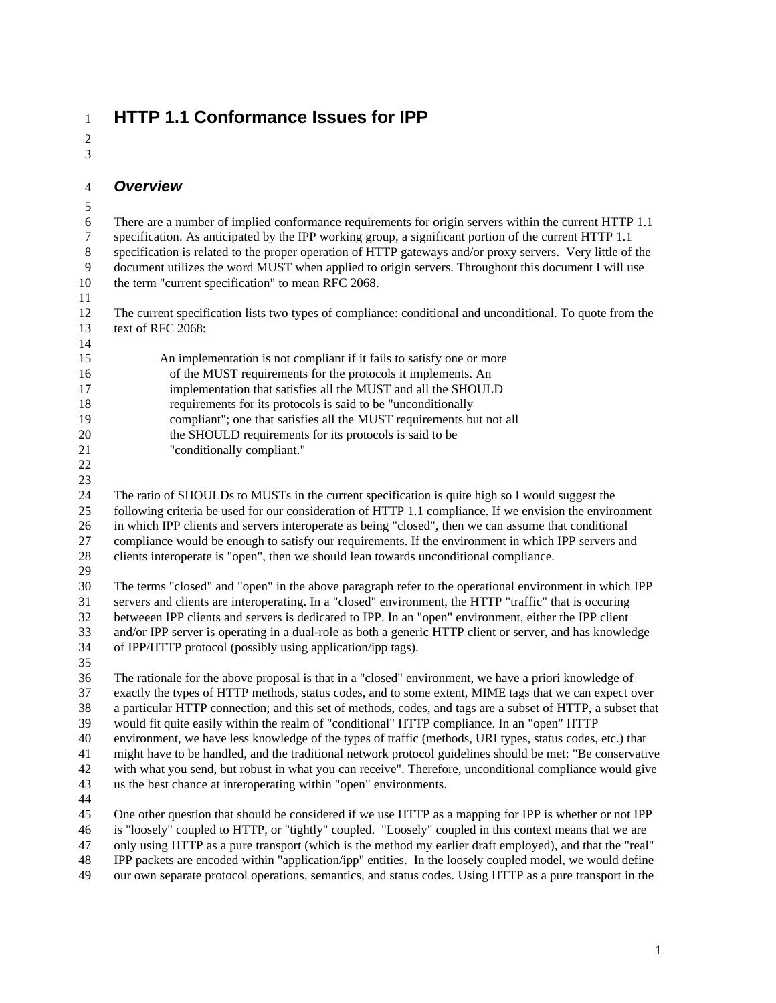# **HTTP 1.1 Conformance Issues for IPP**

 

#### *Overview*

- There are a number of implied conformance requirements for origin servers within the current HTTP 1.1 specification. As anticipated by the IPP working group, a significant portion of the current HTTP 1.1 specification is related to the proper operation of HTTP gateways and/or proxy servers. Very little of the document utilizes the word MUST when applied to origin servers. Throughout this document I will use the term "current specification" to mean RFC 2068. The current specification lists two types of compliance: conditional and unconditional. To quote from the text of RFC 2068: An implementation is not compliant if it fails to satisfy one or more 16 of the MUST requirements for the protocols it implements. An 17 implementation that satisfies all the MUST and all the SHOULD 18 requirements for its protocols is said to be "unconditionally 19 compliant"; one that satisfies all the MUST requirements but not all 20 the SHOULD requirements for its protocols is said to be 21 "conditionally compliant." The ratio of SHOULDs to MUSTs in the current specification is quite high so I would suggest the following criteria be used for our consideration of HTTP 1.1 compliance. If we envision the environment in which IPP clients and servers interoperate as being "closed", then we can assume that conditional compliance would be enough to satisfy our requirements. If the environment in which IPP servers and clients interoperate is "open", then we should lean towards unconditional compliance. The terms "closed" and "open" in the above paragraph refer to the operational environment in which IPP servers and clients are interoperating. In a "closed" environment, the HTTP "traffic" that is occuring betweeen IPP clients and servers is dedicated to IPP. In an "open" environment, either the IPP client and/or IPP server is operating in a dual-role as both a generic HTTP client or server, and has knowledge of IPP/HTTP protocol (possibly using application/ipp tags). The rationale for the above proposal is that in a "closed" environment, we have a priori knowledge of exactly the types of HTTP methods, status codes, and to some extent, MIME tags that we can expect over a particular HTTP connection; and this set of methods, codes, and tags are a subset of HTTP, a subset that would fit quite easily within the realm of "conditional" HTTP compliance. In an "open" HTTP environment, we have less knowledge of the types of traffic (methods, URI types, status codes, etc.) that might have to be handled, and the traditional network protocol guidelines should be met: "Be conservative with what you send, but robust in what you can receive". Therefore, unconditional compliance would give us the best chance at interoperating within "open" environments. One other question that should be considered if we use HTTP as a mapping for IPP is whether or not IPP is "loosely" coupled to HTTP, or "tightly" coupled. "Loosely" coupled in this context means that we are only using HTTP as a pure transport (which is the method my earlier draft employed), and that the "real" IPP packets are encoded within "application/ipp" entities. In the loosely coupled model, we would define
- our own separate protocol operations, semantics, and status codes. Using HTTP as a pure transport in the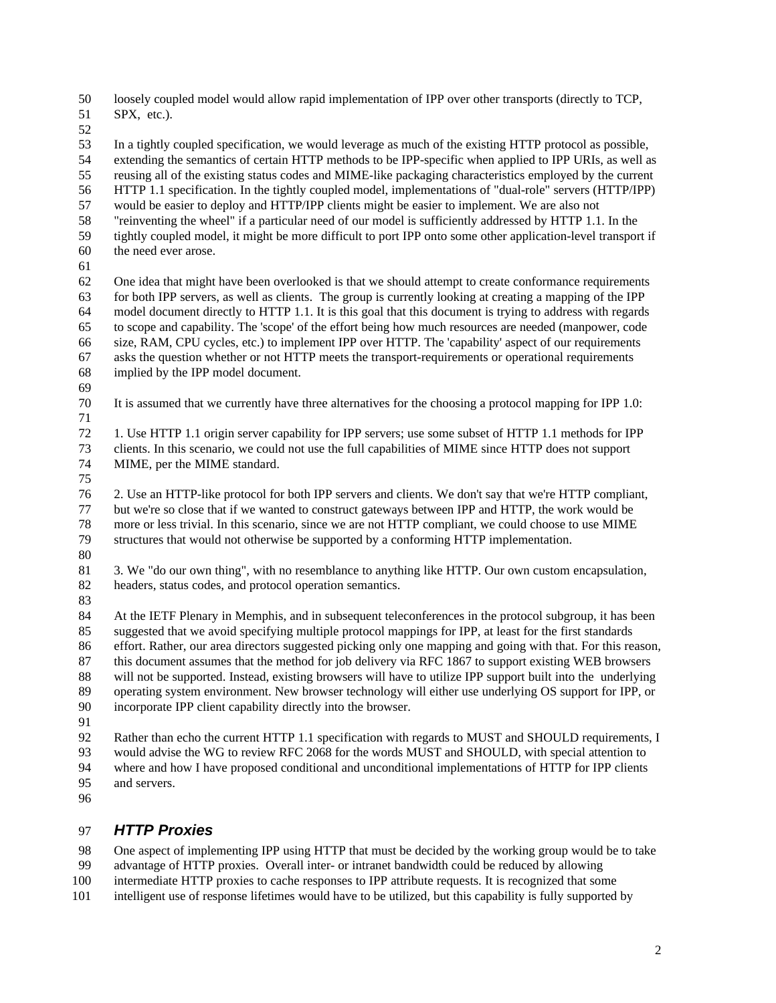loosely coupled model would allow rapid implementation of IPP over other transports (directly to TCP,

SPX, etc.).

 In a tightly coupled specification, we would leverage as much of the existing HTTP protocol as possible, extending the semantics of certain HTTP methods to be IPP-specific when applied to IPP URIs, as well as reusing all of the existing status codes and MIME-like packaging characteristics employed by the current HTTP 1.1 specification. In the tightly coupled model, implementations of "dual-role" servers (HTTP/IPP)

- would be easier to deploy and HTTP/IPP clients might be easier to implement. We are also not
- "reinventing the wheel" if a particular need of our model is sufficiently addressed by HTTP 1.1. In the
- tightly coupled model, it might be more difficult to port IPP onto some other application-level transport if the need ever arose.
- 

 One idea that might have been overlooked is that we should attempt to create conformance requirements for both IPP servers, as well as clients. The group is currently looking at creating a mapping of the IPP model document directly to HTTP 1.1. It is this goal that this document is trying to address with regards to scope and capability. The 'scope' of the effort being how much resources are needed (manpower, code size, RAM, CPU cycles, etc.) to implement IPP over HTTP. The 'capability' aspect of our requirements asks the question whether or not HTTP meets the transport-requirements or operational requirements implied by the IPP model document.

It is assumed that we currently have three alternatives for the choosing a protocol mapping for IPP 1.0:

 1. Use HTTP 1.1 origin server capability for IPP servers; use some subset of HTTP 1.1 methods for IPP clients. In this scenario, we could not use the full capabilities of MIME since HTTP does not support MIME, per the MIME standard.

 2. Use an HTTP-like protocol for both IPP servers and clients. We don't say that we're HTTP compliant, but we're so close that if we wanted to construct gateways between IPP and HTTP, the work would be more or less trivial. In this scenario, since we are not HTTP compliant, we could choose to use MIME structures that would not otherwise be supported by a conforming HTTP implementation.

 3. We "do our own thing", with no resemblance to anything like HTTP. Our own custom encapsulation, headers, status codes, and protocol operation semantics.

 At the IETF Plenary in Memphis, and in subsequent teleconferences in the protocol subgroup, it has been suggested that we avoid specifying multiple protocol mappings for IPP, at least for the first standards effort. Rather, our area directors suggested picking only one mapping and going with that. For this reason, this document assumes that the method for job delivery via RFC 1867 to support existing WEB browsers will not be supported. Instead, existing browsers will have to utilize IPP support built into the underlying operating system environment. New browser technology will either use underlying OS support for IPP, or incorporate IPP client capability directly into the browser.

92 Rather than echo the current HTTP 1.1 specification with regards to MUST and SHOULD requirements, I would advise the WG to review RFC 2068 for the words MUST and SHOULD, with special attention to where and how I have proposed conditional and unconditional implementations of HTTP for IPP clients and servers.

# *HTTP Proxies*

One aspect of implementing IPP using HTTP that must be decided by the working group would be to take

- advantage of HTTP proxies. Overall inter- or intranet bandwidth could be reduced by allowing
- intermediate HTTP proxies to cache responses to IPP attribute requests. It is recognized that some
- intelligent use of response lifetimes would have to be utilized, but this capability is fully supported by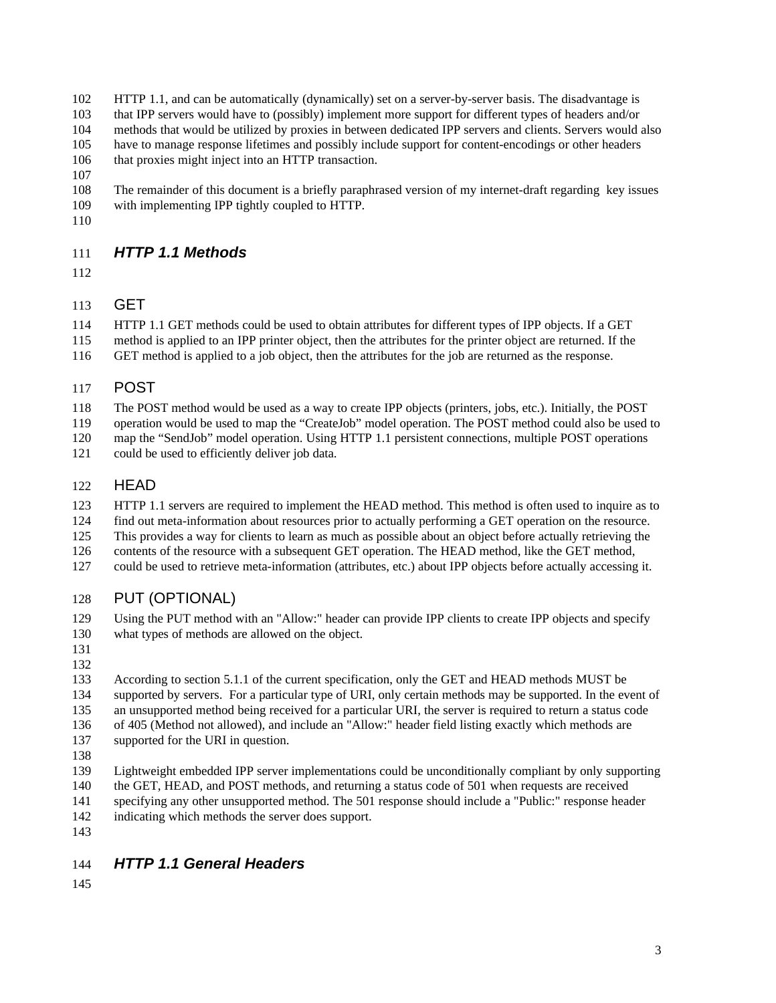HTTP 1.1, and can be automatically (dynamically) set on a server-by-server basis. The disadvantage is

that IPP servers would have to (possibly) implement more support for different types of headers and/or

 methods that would be utilized by proxies in between dedicated IPP servers and clients. Servers would also have to manage response lifetimes and possibly include support for content-encodings or other headers

that proxies might inject into an HTTP transaction.

 The remainder of this document is a briefly paraphrased version of my internet-draft regarding key issues with implementing IPP tightly coupled to HTTP.

# *HTTP 1.1 Methods*

# GET

 HTTP 1.1 GET methods could be used to obtain attributes for different types of IPP objects. If a GET method is applied to an IPP printer object, then the attributes for the printer object are returned. If the GET method is applied to a job object, then the attributes for the job are returned as the response.

## POST

The POST method would be used as a way to create IPP objects (printers, jobs, etc.). Initially, the POST

operation would be used to map the "CreateJob" model operation. The POST method could also be used to

map the "SendJob" model operation. Using HTTP 1.1 persistent connections, multiple POST operations

could be used to efficiently deliver job data.

# HEAD

123 HTTP 1.1 servers are required to implement the HEAD method. This method is often used to inquire as to

- find out meta-information about resources prior to actually performing a GET operation on the resource.
- This provides a way for clients to learn as much as possible about an object before actually retrieving the
- contents of the resource with a subsequent GET operation. The HEAD method, like the GET method,
- could be used to retrieve meta-information (attributes, etc.) about IPP objects before actually accessing it.

# PUT (OPTIONAL)

 Using the PUT method with an "Allow:" header can provide IPP clients to create IPP objects and specify what types of methods are allowed on the object.

 According to section 5.1.1 of the current specification, only the GET and HEAD methods MUST be supported by servers. For a particular type of URI, only certain methods may be supported. In the event of an unsupported method being received for a particular URI, the server is required to return a status code of 405 (Method not allowed), and include an "Allow:" header field listing exactly which methods are supported for the URI in question.

- 
- Lightweight embedded IPP server implementations could be unconditionally compliant by only supporting
- the GET, HEAD, and POST methods, and returning a status code of 501 when requests are received
- specifying any other unsupported method. The 501 response should include a "Public:" response header indicating which methods the server does support.
- 

# *HTTP 1.1 General Headers*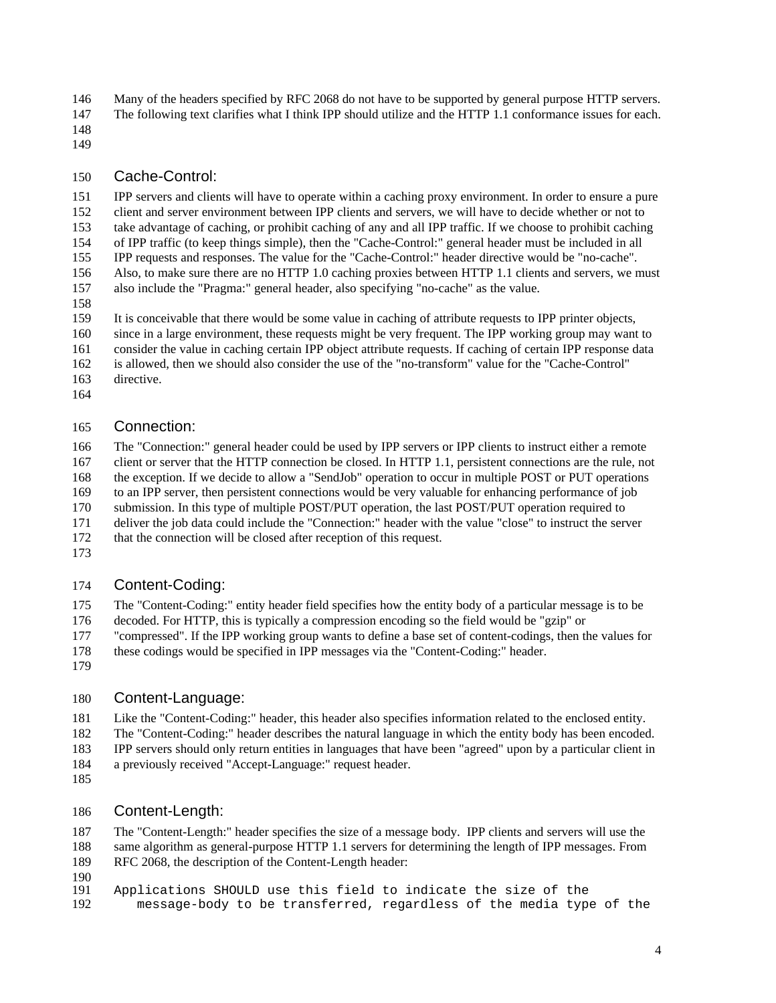146 Many of the headers specified by RFC 2068 do not have to be supported by general purpose HTTP servers. The following text clarifies what I think IPP should utilize and the HTTP 1.1 conformance issues for each.

- 
- 

#### Cache-Control:

 IPP servers and clients will have to operate within a caching proxy environment. In order to ensure a pure client and server environment between IPP clients and servers, we will have to decide whether or not to take advantage of caching, or prohibit caching of any and all IPP traffic. If we choose to prohibit caching of IPP traffic (to keep things simple), then the "Cache-Control:" general header must be included in all IPP requests and responses. The value for the "Cache-Control:" header directive would be "no-cache". Also, to make sure there are no HTTP 1.0 caching proxies between HTTP 1.1 clients and servers, we must also include the "Pragma:" general header, also specifying "no-cache" as the value.

It is conceivable that there would be some value in caching of attribute requests to IPP printer objects,

since in a large environment, these requests might be very frequent. The IPP working group may want to

consider the value in caching certain IPP object attribute requests. If caching of certain IPP response data

is allowed, then we should also consider the use of the "no-transform" value for the "Cache-Control"

- directive.
- 

### Connection:

 The "Connection:" general header could be used by IPP servers or IPP clients to instruct either a remote client or server that the HTTP connection be closed. In HTTP 1.1, persistent connections are the rule, not

the exception. If we decide to allow a "SendJob" operation to occur in multiple POST or PUT operations

to an IPP server, then persistent connections would be very valuable for enhancing performance of job

submission. In this type of multiple POST/PUT operation, the last POST/PUT operation required to

deliver the job data could include the "Connection:" header with the value "close" to instruct the server

- that the connection will be closed after reception of this request.
- 

## Content-Coding:

The "Content-Coding:" entity header field specifies how the entity body of a particular message is to be

decoded. For HTTP, this is typically a compression encoding so the field would be "gzip" or

"compressed". If the IPP working group wants to define a base set of content-codings, then the values for

- these codings would be specified in IPP messages via the "Content-Coding:" header.
- 

# Content-Language:

Like the "Content-Coding:" header, this header also specifies information related to the enclosed entity.

 The "Content-Coding:" header describes the natural language in which the entity body has been encoded. IPP servers should only return entities in languages that have been "agreed" upon by a particular client in a previously received "Accept-Language:" request header.

## Content-Length:

 The "Content-Length:" header specifies the size of a message body. IPP clients and servers will use the same algorithm as general-purpose HTTP 1.1 servers for determining the length of IPP messages. From RFC 2068, the description of the Content-Length header:

190<br>191

 Applications SHOULD use this field to indicate the size of the message-body to be transferred, regardless of the media type of the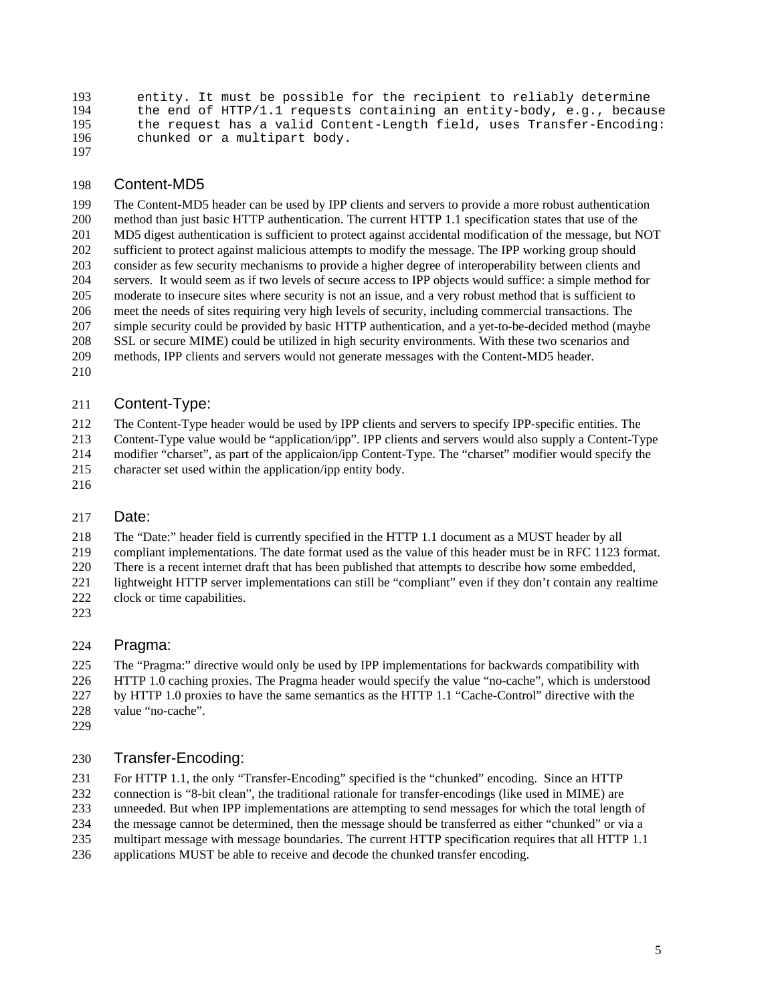193 entity. It must be possible for the recipient to reliably determine<br>194 the end of HTTP/1.1 requests containing an entity-body, e.g., becaus 194 the end of HTTP/1.1 requests containing an entity-body, e.g., because<br>195 the request has a valid Content-Length field, uses Transfer-Encoding: 195 the request has a valid Content-Length field, uses Transfer-Encoding:<br>196 chunked or a multipart body. chunked or a multipart body. 

#### Content-MD5

 The Content-MD5 header can be used by IPP clients and servers to provide a more robust authentication method than just basic HTTP authentication. The current HTTP 1.1 specification states that use of the MD5 digest authentication is sufficient to protect against accidental modification of the message, but NOT sufficient to protect against malicious attempts to modify the message. The IPP working group should consider as few security mechanisms to provide a higher degree of interoperability between clients and servers. It would seem as if two levels of secure access to IPP objects would suffice: a simple method for moderate to insecure sites where security is not an issue, and a very robust method that is sufficient to meet the needs of sites requiring very high levels of security, including commercial transactions. The simple security could be provided by basic HTTP authentication, and a yet-to-be-decided method (maybe SSL or secure MIME) could be utilized in high security environments. With these two scenarios and methods, IPP clients and servers would not generate messages with the Content-MD5 header.

#### Content-Type:

 The Content-Type header would be used by IPP clients and servers to specify IPP-specific entities. The Content-Type value would be "application/ipp". IPP clients and servers would also supply a Content-Type modifier "charset", as part of the applicaion/ipp Content-Type. The "charset" modifier would specify the

- character set used within the application/ipp entity body.
- 

#### Date:

The "Date:" header field is currently specified in the HTTP 1.1 document as a MUST header by all

compliant implementations. The date format used as the value of this header must be in RFC 1123 format.

There is a recent internet draft that has been published that attempts to describe how some embedded,

 lightweight HTTP server implementations can still be "compliant" even if they don't contain any realtime 222 clock or time capabilities.

#### Pragma:

 The "Pragma:" directive would only be used by IPP implementations for backwards compatibility with HTTP 1.0 caching proxies. The Pragma header would specify the value "no-cache", which is understood by HTTP 1.0 proxies to have the same semantics as the HTTP 1.1 "Cache-Control" directive with the

- value "no-cache".
- 

## Transfer-Encoding:

For HTTP 1.1, the only "Transfer-Encoding" specified is the "chunked" encoding. Since an HTTP

connection is "8-bit clean", the traditional rationale for transfer-encodings (like used in MIME) are

unneeded. But when IPP implementations are attempting to send messages for which the total length of

the message cannot be determined, then the message should be transferred as either "chunked" or via a

multipart message with message boundaries. The current HTTP specification requires that all HTTP 1.1

applications MUST be able to receive and decode the chunked transfer encoding.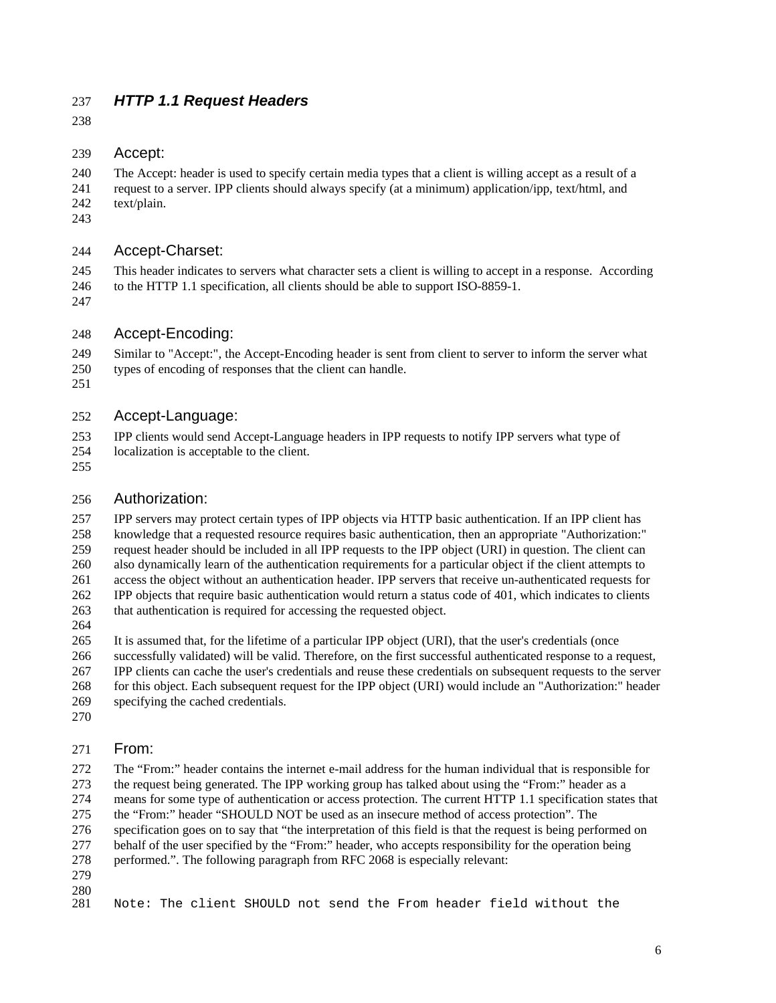# *HTTP 1.1 Request Headers*

#### Accept:

 The Accept: header is used to specify certain media types that a client is willing accept as a result of a request to a server. IPP clients should always specify (at a minimum) application/ipp, text/html, and text/plain.

#### Accept-Charset:

This header indicates to servers what character sets a client is willing to accept in a response. According

- to the HTTP 1.1 specification, all clients should be able to support ISO-8859-1.
- 

### Accept-Encoding:

Similar to "Accept:", the Accept-Encoding header is sent from client to server to inform the server what

- types of encoding of responses that the client can handle.
- 

### Accept-Language:

 IPP clients would send Accept-Language headers in IPP requests to notify IPP servers what type of localization is acceptable to the client.

### Authorization:

 IPP servers may protect certain types of IPP objects via HTTP basic authentication. If an IPP client has knowledge that a requested resource requires basic authentication, then an appropriate "Authorization:" request header should be included in all IPP requests to the IPP object (URI) in question. The client can also dynamically learn of the authentication requirements for a particular object if the client attempts to access the object without an authentication header. IPP servers that receive un-authenticated requests for IPP objects that require basic authentication would return a status code of 401, which indicates to clients that authentication is required for accessing the requested object.

It is assumed that, for the lifetime of a particular IPP object (URI), that the user's credentials (once

 successfully validated) will be valid. Therefore, on the first successful authenticated response to a request, IPP clients can cache the user's credentials and reuse these credentials on subsequent requests to the server for this object. Each subsequent request for the IPP object (URI) would include an "Authorization:" header

- specifying the cached credentials.
- 

#### From:

 The "From:" header contains the internet e-mail address for the human individual that is responsible for the request being generated. The IPP working group has talked about using the "From:" header as a means for some type of authentication or access protection. The current HTTP 1.1 specification states that the "From:" header "SHOULD NOT be used as an insecure method of access protection". The

specification goes on to say that "the interpretation of this field is that the request is being performed on

 behalf of the user specified by the "From:" header, who accepts responsibility for the operation being performed.". The following paragraph from RFC 2068 is especially relevant:

- 
- 

Note: The client SHOULD not send the From header field without the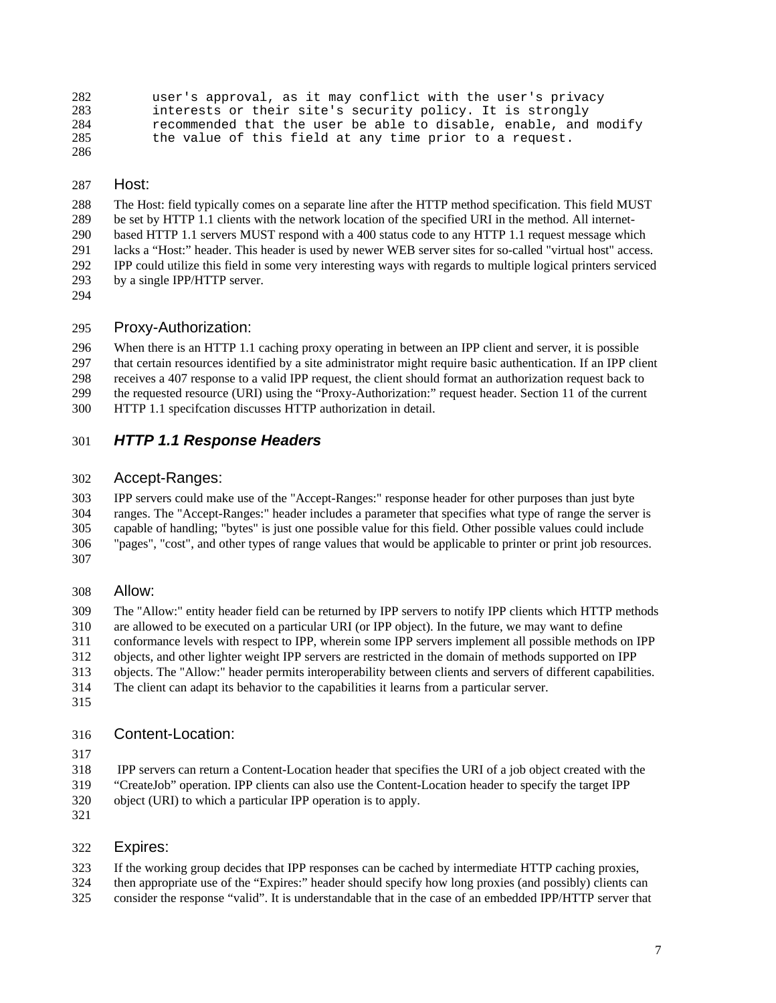```
282 user's approval, as it may conflict with the user's privacy<br>283 interests or their site's security policy. It is strongly
283 interests or their site's security policy. It is strongly<br>284 cecommended that the user be able to disable, enable, and
284 recommended that the user be able to disable, enable, and modify<br>285 the value of this field at any time prior to a request.
                 the value of this field at any time prior to a request.
286
```
#### Host:

 The Host: field typically comes on a separate line after the HTTP method specification. This field MUST be set by HTTP 1.1 clients with the network location of the specified URI in the method. All internet- based HTTP 1.1 servers MUST respond with a 400 status code to any HTTP 1.1 request message which lacks a "Host:" header. This header is used by newer WEB server sites for so-called "virtual host" access. IPP could utilize this field in some very interesting ways with regards to multiple logical printers serviced by a single IPP/HTTP server.

#### Proxy-Authorization:

 When there is an HTTP 1.1 caching proxy operating in between an IPP client and server, it is possible that certain resources identified by a site administrator might require basic authentication. If an IPP client receives a 407 response to a valid IPP request, the client should format an authorization request back to the requested resource (URI) using the "Proxy-Authorization:" request header. Section 11 of the current HTTP 1.1 specifcation discusses HTTP authorization in detail.

#### *HTTP 1.1 Response Headers*

#### Accept-Ranges:

 IPP servers could make use of the "Accept-Ranges:" response header for other purposes than just byte ranges. The "Accept-Ranges:" header includes a parameter that specifies what type of range the server is capable of handling; "bytes" is just one possible value for this field. Other possible values could include "pages", "cost", and other types of range values that would be applicable to printer or print job resources. 

#### Allow:

 The "Allow:" entity header field can be returned by IPP servers to notify IPP clients which HTTP methods are allowed to be executed on a particular URI (or IPP object). In the future, we may want to define conformance levels with respect to IPP, wherein some IPP servers implement all possible methods on IPP objects, and other lighter weight IPP servers are restricted in the domain of methods supported on IPP objects. The "Allow:" header permits interoperability between clients and servers of different capabilities. The client can adapt its behavior to the capabilities it learns from a particular server. 

#### Content-Location:

318 IPP servers can return a Content-Location header that specifies the URI of a job object created with the "CreateJob" operation. IPP clients can also use the Content-Location header to specify the target IPP object (URI) to which a particular IPP operation is to apply.

#### Expires:

If the working group decides that IPP responses can be cached by intermediate HTTP caching proxies,

- then appropriate use of the "Expires:" header should specify how long proxies (and possibly) clients can
- consider the response "valid". It is understandable that in the case of an embedded IPP/HTTP server that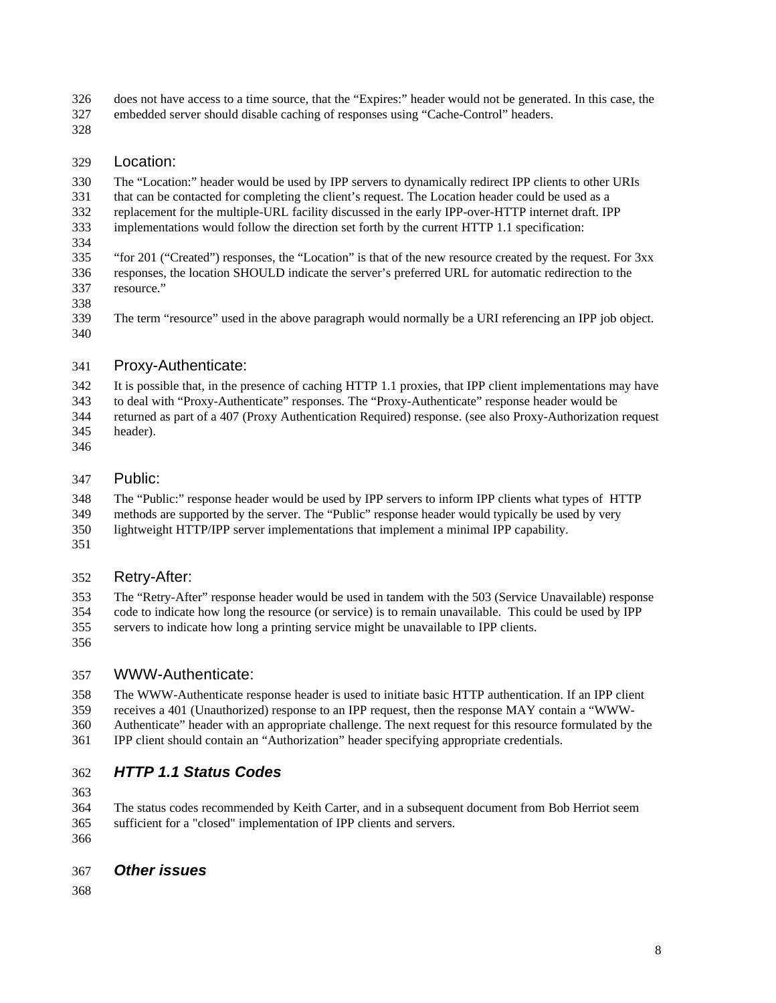does not have access to a time source, that the "Expires:" header would not be generated. In this case, the

- embedded server should disable caching of responses using "Cache-Control" headers.
- 

## Location:

 The "Location:" header would be used by IPP servers to dynamically redirect IPP clients to other URIs that can be contacted for completing the client's request. The Location header could be used as a replacement for the multiple-URL facility discussed in the early IPP-over-HTTP internet draft. IPP implementations would follow the direction set forth by the current HTTP 1.1 specification:

 "for 201 ("Created") responses, the "Location" is that of the new resource created by the request. For 3xx responses, the location SHOULD indicate the server's preferred URL for automatic redirection to the resource."

 The term "resource" used in the above paragraph would normally be a URI referencing an IPP job object. 

## Proxy-Authenticate:

 It is possible that, in the presence of caching HTTP 1.1 proxies, that IPP client implementations may have to deal with "Proxy-Authenticate" responses. The "Proxy-Authenticate" response header would be returned as part of a 407 (Proxy Authentication Required) response. (see also Proxy-Authorization request header).

- 
- 

## Public:

The "Public:" response header would be used by IPP servers to inform IPP clients what types of HTTP

methods are supported by the server. The "Public" response header would typically be used by very

- lightweight HTTP/IPP server implementations that implement a minimal IPP capability.
- 

# Retry-After:

 The "Retry-After" response header would be used in tandem with the 503 (Service Unavailable) response code to indicate how long the resource (or service) is to remain unavailable. This could be used by IPP servers to indicate how long a printing service might be unavailable to IPP clients.

# WWW-Authenticate:

 The WWW-Authenticate response header is used to initiate basic HTTP authentication. If an IPP client receives a 401 (Unauthorized) response to an IPP request, then the response MAY contain a "WWW-Authenticate" header with an appropriate challenge. The next request for this resource formulated by the

IPP client should contain an "Authorization" header specifying appropriate credentials.

# *HTTP 1.1 Status Codes*

 The status codes recommended by Keith Carter, and in a subsequent document from Bob Herriot seem sufficient for a "closed" implementation of IPP clients and servers. 

## *Other issues*